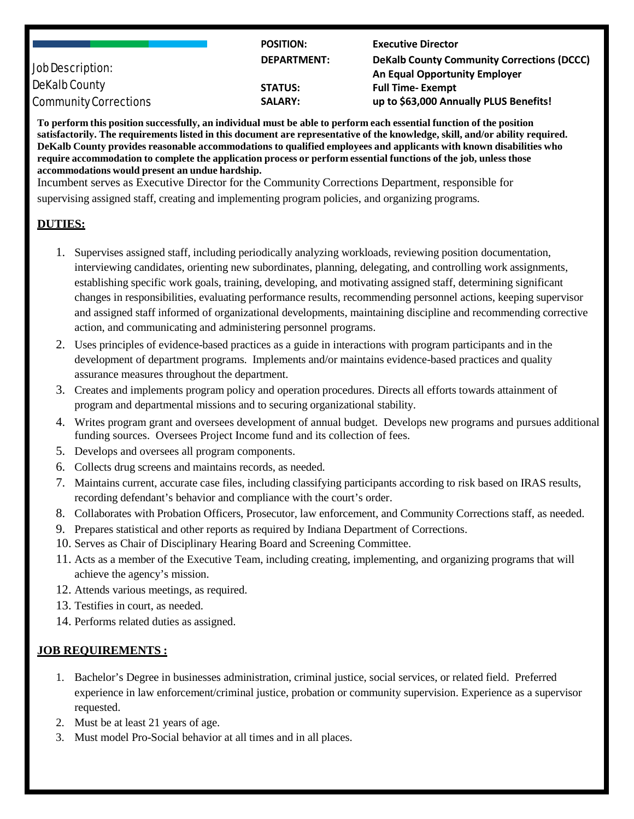| <b>Job Description:</b>      | <b>POSITION:</b>   | <b>Executive Director</b>                         |
|------------------------------|--------------------|---------------------------------------------------|
|                              | <b>DEPARTMENT:</b> | <b>DeKalb County Community Corrections (DCCC)</b> |
|                              |                    | <b>An Equal Opportunity Employer</b>              |
| <b>DeKalb County</b>         | <b>STATUS:</b>     | <b>Full Time-Exempt</b>                           |
| <b>Community Corrections</b> | <b>SALARY:</b>     | up to \$63,000 Annually PLUS Benefits!            |

To perform this position successfully, an individual must be able to perform each essential function of the position satisfactorily. The requirements listed in this document are representative of the knowledge, skill, and/or ability required. **DeKalb County provides reasonable accommodations to qualified employees and applicants with known disabilities who** require accommodation to complete the application process or perform essential functions of the job, unless those **accommodations would present an undue hardship.**

Incumbent serves as Executive Director for the Community Corrections Department, responsible for supervising assigned staff, creating and implementing program policies, and organizing programs.

## **DUTIES:**

- 1. Supervises assigned staff, including periodically analyzing workloads, reviewing position documentation, interviewing candidates, orienting new subordinates, planning, delegating, and controlling work assignments, establishing specific work goals, training, developing, and motivating assigned staff, determining significant changes in responsibilities, evaluating performance results, recommending personnel actions, keeping supervisor and assigned staff informed of organizational developments, maintaining discipline and recommending corrective action, and communicating and administering personnel programs.
- 2. Uses principles of evidence-based practices as a guide in interactions with program participants and in the development of department programs. Implements and/or maintains evidence-based practices and quality assurance measures throughout the department.
- 3. Creates and implements program policy and operation procedures. Directs all efforts towards attainment of program and departmental missions and to securing organizational stability.
- 4. Writes program grant and oversees development of annual budget. Develops new programs and pursues additional funding sources. Oversees Project Income fund and its collection of fees.
- 5. Develops and oversees all program components.
- 6. Collects drug screens and maintains records, as needed.
- 7. Maintains current, accurate case files, including classifying participants according to risk based on IRAS results, recording defendant's behavior and compliance with the court's order.
- 8. Collaborates with Probation Officers, Prosecutor, law enforcement, and Community Corrections staff, as needed.
- 9. Prepares statistical and other reports as required by Indiana Department of Corrections.
- 10. Serves as Chair of Disciplinary Hearing Board and Screening Committee.
- 11. Acts as a member of the Executive Team, including creating, implementing, and organizing programs that will achieve the agency's mission.
- 12. Attends various meetings, as required.
- 13. Testifies in court, as needed.
- 14. Performs related duties as assigned.

# **JOB REQUIREMENTS :**

- 1. Bachelor's Degree in businesses administration, criminal justice, social services, or related field. Preferred experience in law enforcement/criminal justice, probation or community supervision. Experience as a supervisor requested.
- 2. Must be at least 21 years of age.
- 3. Must model Pro-Social behavior at all times and in all places.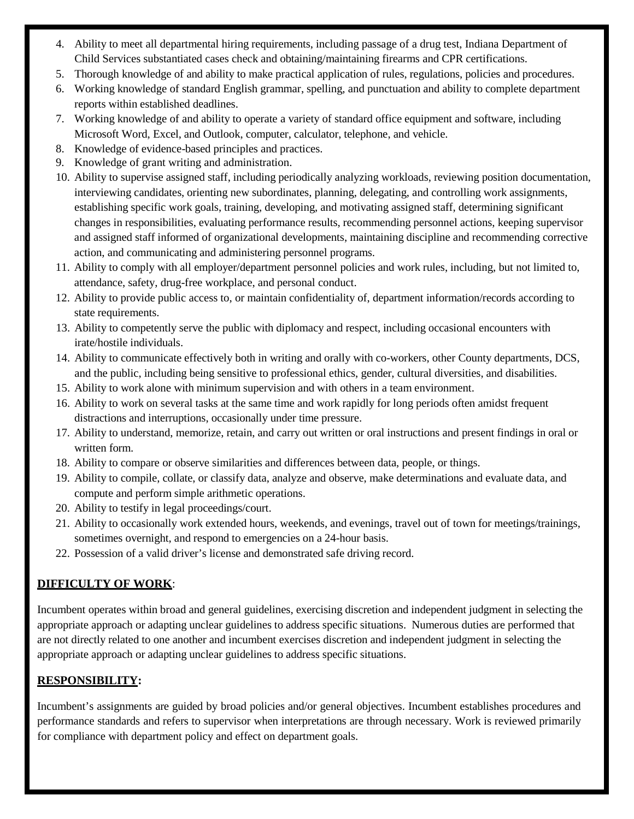- 4. Ability to meet all departmental hiring requirements, including passage of a drug test, Indiana Department of Child Services substantiated cases check and obtaining/maintaining firearms and CPR certifications.
- 5. Thorough knowledge of and ability to make practical application of rules, regulations, policies and procedures.
- 6. Working knowledge of standard English grammar, spelling, and punctuation and ability to complete department reports within established deadlines.
- 7. Working knowledge of and ability to operate a variety of standard office equipment and software, including Microsoft Word, Excel, and Outlook, computer, calculator, telephone, and vehicle.
- 8. Knowledge of evidence-based principles and practices.
- 9. Knowledge of grant writing and administration.
- 10. Ability to supervise assigned staff, including periodically analyzing workloads, reviewing position documentation, interviewing candidates, orienting new subordinates, planning, delegating, and controlling work assignments, establishing specific work goals, training, developing, and motivating assigned staff, determining significant changes in responsibilities, evaluating performance results, recommending personnel actions, keeping supervisor and assigned staff informed of organizational developments, maintaining discipline and recommending corrective action, and communicating and administering personnel programs.
- 11. Ability to comply with all employer/department personnel policies and work rules, including, but not limited to, attendance, safety, drug-free workplace, and personal conduct.
- 12. Ability to provide public access to, or maintain confidentiality of, department information/records according to state requirements.
- 13. Ability to competently serve the public with diplomacy and respect, including occasional encounters with irate/hostile individuals.
- 14. Ability to communicate effectively both in writing and orally with co-workers, other County departments, DCS, and the public, including being sensitive to professional ethics, gender, cultural diversities, and disabilities.
- 15. Ability to work alone with minimum supervision and with others in a team environment.
- 16. Ability to work on several tasks at the same time and work rapidly for long periods often amidst frequent distractions and interruptions, occasionally under time pressure.
- 17. Ability to understand, memorize, retain, and carry out written or oral instructions and present findings in oral or written form.
- 18. Ability to compare or observe similarities and differences between data, people, or things.
- 19. Ability to compile, collate, or classify data, analyze and observe, make determinations and evaluate data, and compute and perform simple arithmetic operations.
- 20. Ability to testify in legal proceedings/court.
- 21. Ability to occasionally work extended hours, weekends, and evenings, travel out of town for meetings/trainings, sometimes overnight, and respond to emergencies on a 24-hour basis.
- 22. Possession of a valid driver's license and demonstrated safe driving record.

# **DIFFICULTY OF WORK**:

Incumbent operates within broad and general guidelines, exercising discretion and independent judgment in selecting the appropriate approach or adapting unclear guidelines to address specific situations. Numerous duties are performed that are not directly related to one another and incumbent exercises discretion and independent judgment in selecting the appropriate approach or adapting unclear guidelines to address specific situations.

#### **RESPONSIBILITY:**

Incumbent's assignments are guided by broad policies and/or general objectives. Incumbent establishes procedures and performance standards and refers to supervisor when interpretations are through necessary. Work is reviewed primarily for compliance with department policy and effect on department goals.